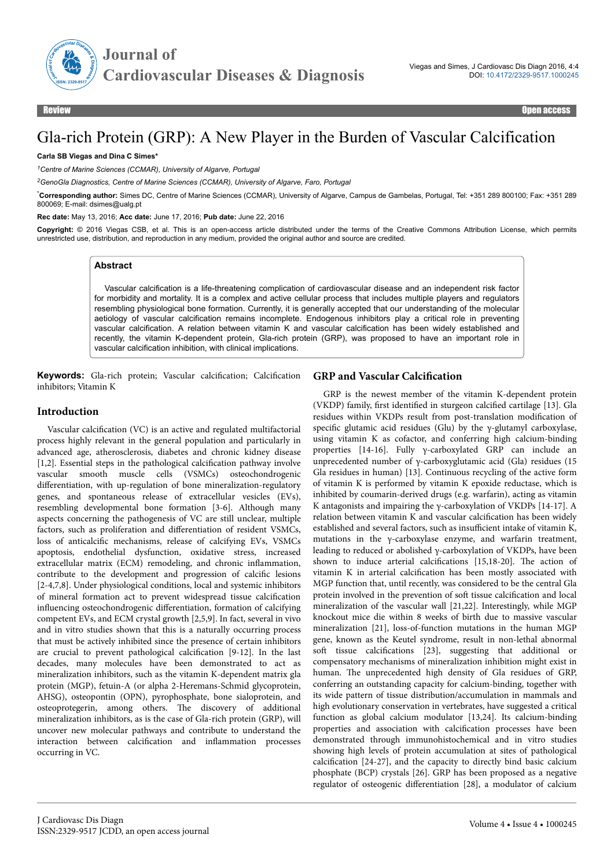

# Gla-rich Protein (GRP): A New Player in the Burden of Vascular Calcification

#### **Carla SB Viegas and Dina C Simes\***

*<sup>1</sup>Centre of Marine Sciences (CCMAR), University of Algarve, Portugal*

*<sup>2</sup>GenoGla Diagnostics, Centre of Marine Sciences (CCMAR), University of Algarve, Faro, Portugal*

\***Corresponding author:** Simes DC, Centre of Marine Sciences (CCMAR), University of Algarve, Campus de Gambelas, Portugal, Tel: +351 289 800100; Fax: +351 289 800069; E-mail: dsimes@ualg.pt

**Rec date:** May 13, 2016; **Acc date:** June 17, 2016; **Pub date:** June 22, 2016

**Copyright:** © 2016 Viegas CSB, et al. This is an open-access article distributed under the terms of the Creative Commons Attribution License, which permits unrestricted use, distribution, and reproduction in any medium, provided the original author and source are credited.

## **Abstract**

Vascular calcification is a life-threatening complication of cardiovascular disease and an independent risk factor for morbidity and mortality. It is a complex and active cellular process that includes multiple players and regulators resembling physiological bone formation. Currently, it is generally accepted that our understanding of the molecular aetiology of vascular calcification remains incomplete. Endogenous inhibitors play a critical role in preventing vascular calcification. A relation between vitamin K and vascular calcification has been widely established and recently, the vitamin K-dependent protein, Gla-rich protein (GRP), was proposed to have an important role in vascular calcification inhibition, with clinical implications.

Keywords: Gla-rich protein; Vascular calcification; Calcification inhibitors; Vitamin K

### **Introduction**

Vascular calcification (VC) is an active and regulated multifactorial process highly relevant in the general population and particularly in advanced age, atherosclerosis, diabetes and chronic kidney disease [1,2]. Essential steps in the pathological calcification pathway involve vascular smooth muscle cells (VSMCs) osteochondrogenic differentiation, with up-regulation of bone mineralization-regulatory genes, and spontaneous release of extracellular vesicles (EVs), resembling developmental bone formation [3-6]. Although many aspects concerning the pathogenesis of VC are still unclear, multiple factors, such as proliferation and differentiation of resident VSMCs, loss of anticalcific mechanisms, release of calcifying EVs, VSMCs apoptosis, endothelial dysfunction, oxidative stress, increased extracellular matrix (ECM) remodeling, and chronic inflammation, contribute to the development and progression of calcific lesions [2-4,7,8]. Under physiological conditions, local and systemic inhibitors of mineral formation act to prevent widespread tissue calcification influencing osteochondrogenic differentiation, formation of calcifying competent EVs, and ECM crystal growth [2,5,9]. In fact, several in vivo and in vitro studies shown that this is a naturally occurring process that must be actively inhibited since the presence of certain inhibitors are crucial to prevent pathological calcification [9-12]. In the last decades, many molecules have been demonstrated to act as mineralization inhibitors, such as the vitamin K-dependent matrix gla protein (MGP), fetuin-A (or alpha 2-Heremans-Schmid glycoprotein, AHSG), osteopontin (OPN), pyrophosphate, bone sialoprotein, and osteoprotegerin, among others. Нe discovery of additional mineralization inhibitors, as is the case of Gla-rich protein (GRP), will uncover new molecular pathways and contribute to understand the interaction between calcification and inflammation processes occurring in VC.

## **GRP** and Vascular Calcification

GRP is the newest member of the vitamin K-dependent protein (VKDP) family, first identified in sturgeon calcified cartilage [13]. Gla residues within VKDPs result from post-translation modification of specific glutamic acid residues (Glu) by the  $\gamma$ -glutamyl carboxylase, using vitamin K as cofactor, and conferring high calcium-binding properties [14-16]. Fully γ-carboxylated GRP can include an unprecedented number of γ-carboxyglutamic acid (Gla) residues (15 Gla residues in human) [13]. Continuous recycling of the active form of vitamin K is performed by vitamin K epoxide reductase, which is inhibited by coumarin-derived drugs (e.g. warfarin), acting as vitamin K antagonists and impairing the  $\gamma$ -carboxylation of VKDPs [14-17]. A relation between vitamin K and vascular calcification has been widely established and several factors, such as insufficient intake of vitamin K, mutations in the γ-carboxylase enzyme, and warfarin treatment, leading to reduced or abolished γ-carboxylation of VKDPs, have been shown to induce arterial calcifications [15,18-20]. Нe action of vitamin K in arterial calcification has been mostly associated with MGP function that, until recently, was considered to be the central Gla protein involved in the prevention of soft tissue calcification and local mineralization of the vascular wall [21,22]. Interestingly, while MGP knockout mice die within 8 weeks of birth due to massive vascular mineralization [21], loss-of-function mutations in the human MGP gene, known as the Keutel syndrome, result in non-lethal abnormal soft tissue calcifications [23], suggesting that additional or compensatory mechanisms of mineralization inhibition might exist in human. Нe unprecedented high density of Gla residues of GRP, conferring an outstanding capacity for calcium-binding, together with its wide pattern of tissue distribution/accumulation in mammals and high evolutionary conservation in vertebrates, have suggested a critical function as global calcium modulator [13,24]. Its calcium-binding properties and association with calcification processes have been demonstrated through immunohistochemical and in vitro studies showing high levels of protein accumulation at sites of pathological calcification [24-27], and the capacity to directly bind basic calcium phosphate (BCP) crystals [26]. GRP has been proposed as a negative regulator of osteogenic differentiation [28], a modulator of calcium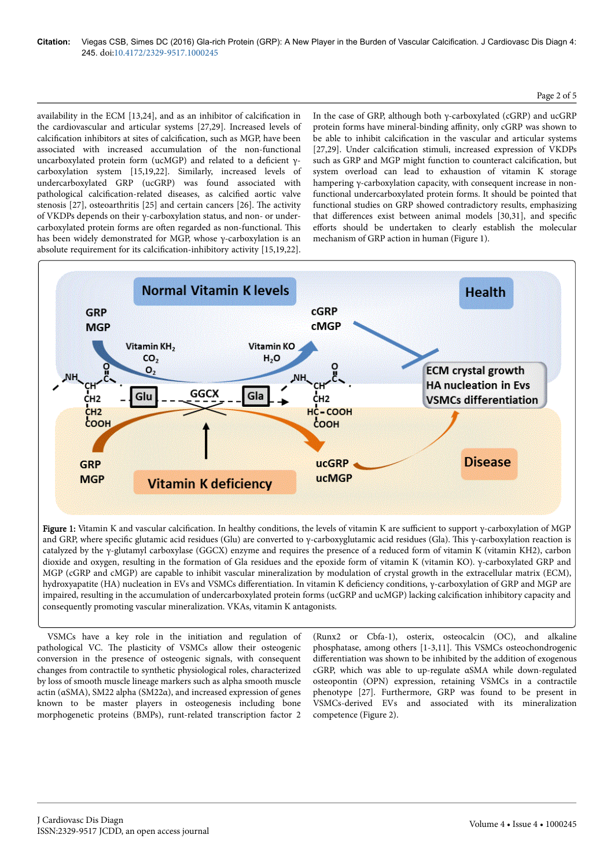#### Page 2 of 5

availability in the ECM [13,24], and as an inhibitor of calcification in the cardiovascular and articular systems [27,29]. Increased levels of calcification inhibitors at sites of calcification, such as MGP, have been associated with increased accumulation of the non-functional uncarboxylated protein form (ucMGP) and related to a deficient γcarboxylation system [15,19,22]. Similarly, increased levels of undercarboxylated GRP (ucGRP) was found associated with pathological calcification-related diseases, as calcified aortic valve stenosis [27], osteoarthritis [25] and certain cancers [26]. Нe activity of VKDPs depends on their γ-carboxylation status, and non- or undercarboxylated protein forms are often regarded as non-functional. This has been widely demonstrated for MGP, whose γ-carboxylation is an absolute requirement for its calcification-inhibitory activity [15,19,22].

In the case of GRP, although both γ-carboxylated (cGRP) and ucGRP protein forms have mineral-binding affinity, only cGRP was shown to be able to inhibit calcification in the vascular and articular systems [27,29]. Under calcification stimuli, increased expression of VKDPs such as GRP and MGP might function to counteract calcification, but system overload can lead to exhaustion of vitamin K storage hampering γ-carboxylation capacity, with consequent increase in nonfunctional undercarboxylated protein forms. It should be pointed that functional studies on GRP showed contradictory results, emphasizing that differences exist between animal models [30,31], and specific efforts should be undertaken to clearly establish the molecular mechanism of GRP action in human (Figure 1).



Figure 1: Vitamin K and vascular calcification. In healthy conditions, the levels of vitamin K are sufficient to support γ-carboxylation of MGP and GRP, where specific glutamic acid residues (Glu) are converted to γ-carboxyglutamic acid residues (Gla). Нis γ-carboxylation reaction is catalyzed by the γ-glutamyl carboxylase (GGCX) enzyme and requires the presence of a reduced form of vitamin K (vitamin KH2), carbon dioxide and oxygen, resulting in the formation of Gla residues and the epoxide form of vitamin K (vitamin KO). γ-carboxylated GRP and MGP (cGRP and cMGP) are capable to inhibit vascular mineralization by modulation of crystal growth in the extracellular matrix (ECM), hydroxyapatite (HA) nucleation in EVs and VSMCs differentiation. In vitamin K deficiency conditions, γ-carboxylation of GRP and MGP are impaired, resulting in the accumulation of undercarboxylated protein forms (ucGRP and ucMGP) lacking calcification inhibitory capacity and consequently promoting vascular mineralization. VKAs, vitamin K antagonists.

VSMCs have a key role in the initiation and regulation of pathological VC. Нe plasticity of VSMCs allow their osteogenic conversion in the presence of osteogenic signals, with consequent changes from contractile to synthetic physiological roles, characterized by loss of smooth muscle lineage markers such as alpha smooth muscle actin (αSMA), SM22 alpha (SM22α), and increased expression of genes known to be master players in osteogenesis including bone morphogenetic proteins (BMPs), runt-related transcription factor 2

(Runx2 or Cbfa-1), osterix, osteocalcin (OC), and alkaline phosphatase, among others [1-3,11]. Нis VSMCs osteochondrogenic differentiation was shown to be inhibited by the addition of exogenous cGRP, which was able to up-regulate αSMA while down-regulated osteopontin (OPN) expression, retaining VSMCs in a contractile phenotype [27]. Furthermore, GRP was found to be present in VSMCs-derived EVs and associated with its mineralization competence (Figure 2).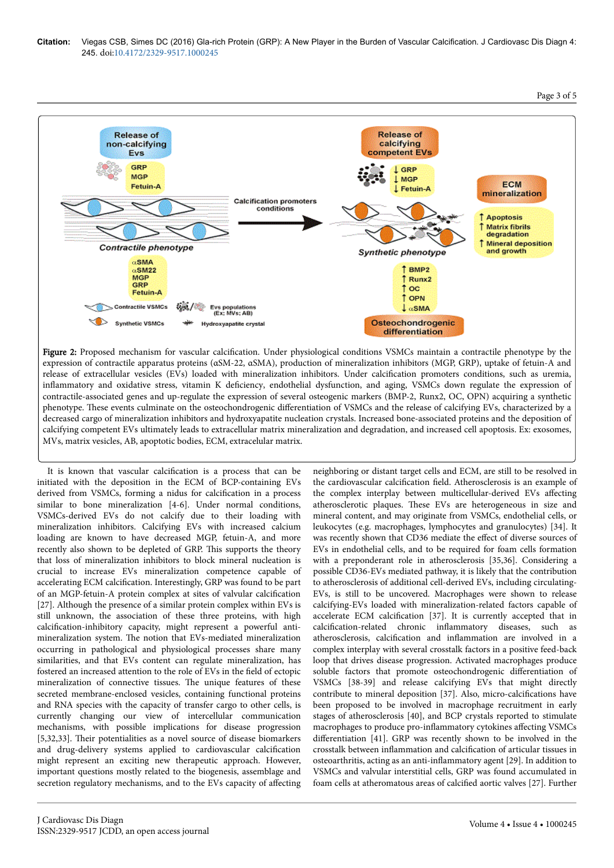# Page 3 of 5



Figure 2: Proposed mechanism for vascular calcification. Under physiological conditions VSMCs maintain a contractile phenotype by the expression of contractile apparatus proteins (αSM-22, αSMA), production of mineralization inhibitors (MGP, GRP), uptake of fetuin-A and release of extracellular vesicles (EVs) loaded with mineralization inhibitors. Under calcification promoters conditions, such as uremia, inflammatory and oxidative stress, vitamin K deficiency, endothelial dysfunction, and aging, VSMCs down regulate the expression of contractile-associated genes and up-regulate the expression of several osteogenic markers (BMP-2, Runx2, OC, OPN) acquiring a synthetic phenotype. These events culminate on the osteochondrogenic differentiation of VSMCs and the release of calcifying EVs, characterized by a decreased cargo of mineralization inhibitors and hydroxyapatite nucleation crystals. Increased bone-associated proteins and the deposition of calcifying competent EVs ultimately leads to extracellular matrix mineralization and degradation, and increased cell apoptosis. Ex: exosomes, MVs, matrix vesicles, AB, apoptotic bodies, ECM, extracelular matrix.

It is known that vascular calcification is a process that can be initiated with the deposition in the ECM of BCP-containing EVs derived from VSMCs, forming a nidus for calcification in a process similar to bone mineralization [4-6]. Under normal conditions, VSMCs-derived EVs do not calcify due to their loading with mineralization inhibitors. Calcifying EVs with increased calcium loading are known to have decreased MGP, fetuin-A, and more recently also shown to be depleted of GRP. Нis supports the theory that loss of mineralization inhibitors to block mineral nucleation is crucial to increase EVs mineralization competence capable of accelerating ECM calcification. Interestingly, GRP was found to be part of an MGP-fetuin-A protein complex at sites of valvular calcification [27]. Although the presence of a similar protein complex within EVs is still unknown, the association of these three proteins, with high calcification-inhibitory capacity, might represent a powerful antimineralization system. Нe notion that EVs-mediated mineralization occurring in pathological and physiological processes share many similarities, and that EVs content can regulate mineralization, has fostered an increased attention to the role of EVs in the field of ectopic mineralization of connective tissues. Нe unique features of these secreted membrane-enclosed vesicles, containing functional proteins and RNA species with the capacity of transfer cargo to other cells, is currently changing our view of intercellular communication mechanisms, with possible implications for disease progression [5,32,33]. Нeir potentialities as a novel source of disease biomarkers and drug-delivery systems applied to cardiovascular calcification might represent an exciting new therapeutic approach. However, important questions mostly related to the biogenesis, assemblage and secretion regulatory mechanisms, and to the EVs capacity of affecting

neighboring or distant target cells and ECM, are still to be resolved in the cardiovascular calcification field. Atherosclerosis is an example of the complex interplay between multicellular-derived EVs affecting atherosclerotic plaques. Нese EVs are heterogeneous in size and mineral content, and may originate from VSMCs, endothelial cells, or leukocytes (e.g. macrophages, lymphocytes and granulocytes) [34]. It was recently shown that CD36 mediate the effect of diverse sources of EVs in endothelial cells, and to be required for foam cells formation with a preponderant role in atherosclerosis [35,36]. Considering a possible CD36-EVs mediated pathway, it is likely that the contribution to atherosclerosis of additional cell-derived EVs, including circulating-EVs, is still to be uncovered. Macrophages were shown to release calcifying-EVs loaded with mineralization-related factors capable of accelerate ECM calcification [37]. It is currently accepted that in calcification-related chronic inflammatory diseases, such as atherosclerosis, calcification and inflammation are involved in a complex interplay with several crosstalk factors in a positive feed-back loop that drives disease progression. Activated macrophages produce soluble factors that promote osteochondrogenic differentiation of VSMCs [38-39] and release calcifying EVs that might directly contribute to mineral deposition [37]. Also, micro-calcifications have been proposed to be involved in macrophage recruitment in early stages of atherosclerosis [40], and BCP crystals reported to stimulate macrophages to produce pro-inflammatory cytokines affecting VSMCs differentiation [41]. GRP was recently shown to be involved in the crosstalk between inflammation and calcification of articular tissues in osteoarthritis, acting as an anti-inflammatory agent [29]. In addition to VSMCs and valvular interstitial cells, GRP was found accumulated in foam cells at atheromatous areas of calcified aortic valves [27]. Further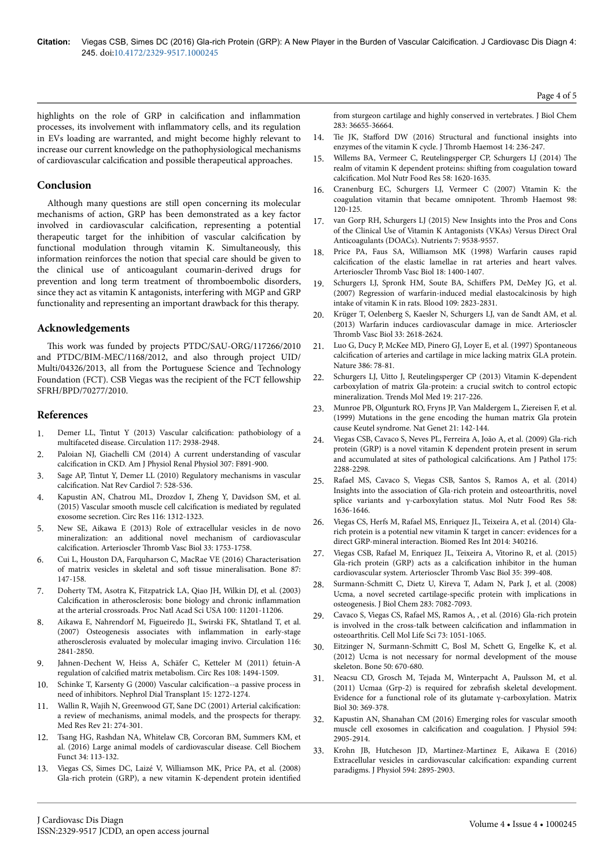highlights on the role of GRP in calcification and inflammation processes, its involvement with inflammatory cells, and its regulation in EVs loading are warranted, and might become highly relevant to increase our current knowledge on the pathophysiological mechanisms of cardiovascular calcification and possible therapeutical approaches.

# **Conclusion**

Although many questions are still open concerning its molecular mechanisms of action, GRP has been demonstrated as a key factor involved in cardiovascular calcification, representing a potential therapeutic target for the inhibition of vascular calcification by functional modulation through vitamin K. Simultaneously, this information reinforces the notion that special care should be given to the clinical use of anticoagulant coumarin-derived drugs for prevention and long term treatment of thromboembolic disorders, since they act as vitamin K antagonists, interfering with MGP and GRP functionality and representing an important drawback for this therapy.

## **Acknowledgements**

This work was funded by projects PTDC/SAU-ORG/117266/2010 and PTDC/BIM-MEC/1168/2012, and also through project UID/ Multi/04326/2013, all from the Portuguese Science and Technology Foundation (FCT). CSB Viegas was the recipient of the FCT fellowship SFRH/BPD/70277/2010.

# **References**

- 1. [Demer LL, Tintut Y \(2013\) Vascular](http://www.ncbi.nlm.nih.gov/pubmed/?term=Vascular+calcification%3A+pathobiology+of+a+multifaceted+disease) calcification: pathobiology of a [multifaceted disease. Circulation 117: 2938-2948.](http://www.ncbi.nlm.nih.gov/pubmed/?term=Vascular+calcification%3A+pathobiology+of+a+multifaceted+disease)
- 2. [Paloian NJ, Giachelli CM \(2014\) A current understanding of vascular](http://www.ncbi.nlm.nih.gov/pubmed/25143458) calcification [in CKD. Am J Physiol Renal Physiol 307: F891-900.](http://www.ncbi.nlm.nih.gov/pubmed/25143458)
- 3. [Sage AP, Tintut Y, Demer LL \(2010\) Regulatory mechanisms in vascular](http://www.ncbi.nlm.nih.gov/pubmed/20664518) calcification. [Nat Rev Cardiol 7: 528-536.](http://www.ncbi.nlm.nih.gov/pubmed/20664518)
- 4. [Kapustin AN, Chatrou ML, Drozdov I, Zheng Y, Davidson SM, et al.](http://www.ncbi.nlm.nih.gov/pubmed/?term=Vascular+smooth+muscle+cell+calcification+is+mediated+by+regulated+exosome+secretion) [\(2015\) Vascular smooth muscle cell](http://www.ncbi.nlm.nih.gov/pubmed/?term=Vascular+smooth+muscle+cell+calcification+is+mediated+by+regulated+exosome+secretion) calcification is mediated by regulated [exosome secretion. Circ Res 116: 1312-1323.](http://www.ncbi.nlm.nih.gov/pubmed/?term=Vascular+smooth+muscle+cell+calcification+is+mediated+by+regulated+exosome+secretion)
- 5. [New SE, Aikawa E \(2013\) Role of extracellular vesicles in de novo](http://www.ncbi.nlm.nih.gov/pubmed/?term=Role+of+extracellular+vesicles+in+de+novo+mineralization%3A+an+additional+novel+mechanism+of+cardiovascular+calcification) [mineralization: an additional novel mechanism of cardiovascular](http://www.ncbi.nlm.nih.gov/pubmed/?term=Role+of+extracellular+vesicles+in+de+novo+mineralization%3A+an+additional+novel+mechanism+of+cardiovascular+calcification) calcification. Arterioscler Нromb [Vasc Biol 33: 1753-1758.](http://www.ncbi.nlm.nih.gov/pubmed/?term=Role+of+extracellular+vesicles+in+de+novo+mineralization%3A+an+additional+novel+mechanism+of+cardiovascular+calcification)
- 6. [Cui L, Houston DA, Farquharson C, MacRae VE \(2016\) Characterisation](http://www.ncbi.nlm.nih.gov/pubmed/27072517) [of matrix vesicles in skeletal and](http://www.ncbi.nlm.nih.gov/pubmed/27072517) soft tissue mineralisation. Bone 87: [147-158.](http://www.ncbi.nlm.nih.gov/pubmed/27072517)
- 7. [Doherty TM, Asotra K, Fitzpatrick LA, Qiao JH, Wilkin DJ, et al. \(2003\)](http://www.ncbi.nlm.nih.gov/pubmed/14500910) Calcification [in atherosclerosis: bone biology and chronic](http://www.ncbi.nlm.nih.gov/pubmed/14500910) inflammation [at the arterial crossroads. Proc Natl Acad Sci USA 100: 11201-11206.](http://www.ncbi.nlm.nih.gov/pubmed/14500910)
- 8. [Aikawa E, Nahrendorf M, Figueiredo JL, Swirski FK, Shtatland T, et al.](http://www.ncbi.nlm.nih.gov/pubmed/?term=Osteogenesis+associates+with+inflammation+in+early-stage+atherosclerosis+evaluated+by+molecular+imaging+invivo) [\(2007\) Osteogenesis associates with](http://www.ncbi.nlm.nih.gov/pubmed/?term=Osteogenesis+associates+with+inflammation+in+early-stage+atherosclerosis+evaluated+by+molecular+imaging+invivo) inflammation in early-stage [atherosclerosis evaluated by molecular imaging invivo. Circulation 116:](http://www.ncbi.nlm.nih.gov/pubmed/?term=Osteogenesis+associates+with+inflammation+in+early-stage+atherosclerosis+evaluated+by+molecular+imaging+invivo) [2841-2850.](http://www.ncbi.nlm.nih.gov/pubmed/?term=Osteogenesis+associates+with+inflammation+in+early-stage+atherosclerosis+evaluated+by+molecular+imaging+invivo)
- 9. [Jahnen-Dechent W, Heiss A, Schäfer C, Ketteler M \(2011\) fetuin-A](http://www.ncbi.nlm.nih.gov/pubmed/21659653) regulation of calcified [matrix metabolism. Circ Res 108: 1494-1509.](http://www.ncbi.nlm.nih.gov/pubmed/21659653)
- 10. [Schinke T, Karsenty G \(2000\) Vascular](http://www.ncbi.nlm.nih.gov/pubmed/10978374) calcification--a passive process in [need of inhibitors. Nephrol Dial Transplant 15: 1272-1274.](http://www.ncbi.nlm.nih.gov/pubmed/10978374)
- 11. [Wallin R, Wajih N, Greenwood GT, Sane DC \(2001\) Arterial](http://www.ncbi.nlm.nih.gov/pubmed/11410932) calcification: [a review of mechanisms, animal models, and the prospects for therapy.](http://www.ncbi.nlm.nih.gov/pubmed/11410932) [Med Res Rev 21: 274-301.](http://www.ncbi.nlm.nih.gov/pubmed/11410932)
- 12. [Tsang HG, Rashdan NA, Whitelaw CB, Corcoran BM, Summers KM, et](http://www.ncbi.nlm.nih.gov/pubmed/26914991) [al. \(2016\) Large animal models of cardiovascular disease. Cell Biochem](http://www.ncbi.nlm.nih.gov/pubmed/26914991) [Funct 34: 113-132.](http://www.ncbi.nlm.nih.gov/pubmed/26914991)
- 13. [Viegas CS, Simes DC, Laizé V, Williamson MK, Price PA, et al. \(2008\)](http://www.ncbi.nlm.nih.gov/pubmed/18836183) [Gla-rich protein \(GRP\), a new vitamin K-dependent protein](http://www.ncbi.nlm.nih.gov/pubmed/18836183) identified

[from sturgeon cartilage and highly conserved in vertebrates. J Biol Chem](http://www.ncbi.nlm.nih.gov/pubmed/18836183) [283: 36655-36664.](http://www.ncbi.nlm.nih.gov/pubmed/18836183)

- 14. Tie JK, Stafford [DW \(2016\) Structural and functional insights into](http://www.ncbi.nlm.nih.gov/pubmed/26663892) [enzymes of the vitamin K cycle. J](http://www.ncbi.nlm.nih.gov/pubmed/26663892) Нromb Haemost 14: 236-247.
- 15. [Willems BA, Vermeer C, Reutelingsperger CP, Schurgers LJ \(2014\)](http://www.ncbi.nlm.nih.gov/pubmed/24668744) Нe [realm of vitamin K dependent proteins:](http://www.ncbi.nlm.nih.gov/pubmed/24668744) shifting from coagulation toward calcification. [Mol Nutr Food Res 58: 1620-1635.](http://www.ncbi.nlm.nih.gov/pubmed/24668744)
- 16. [Cranenburg EC, Schurgers LJ, Vermeer C \(2007\) Vitamin K: the](http://www.ncbi.nlm.nih.gov/pubmed/17598002) [coagulation vitamin that became omnipotent.](http://www.ncbi.nlm.nih.gov/pubmed/17598002) Нromb Haemost 98: [120-125.](http://www.ncbi.nlm.nih.gov/pubmed/17598002)
- 17. [van Gorp RH, Schurgers LJ \(2015\) New Insights into the Pros and Cons](http://www.ncbi.nlm.nih.gov/pubmed/26593943) [of the Clinical Use of Vitamin K Antagonists \(VKAs\) Versus Direct Oral](http://www.ncbi.nlm.nih.gov/pubmed/26593943) [Anticoagulants \(DOACs\). Nutrients 7: 9538-9557.](http://www.ncbi.nlm.nih.gov/pubmed/26593943)
- 18. [Price PA, Faus SA, Williamson MK \(1998\) Warfarin causes rapid](http://www.ncbi.nlm.nih.gov/pubmed/9743228) calcification [of the elastic lamellae in rat arteries and heart valves.](http://www.ncbi.nlm.nih.gov/pubmed/9743228) Arterioscler Нromb [Vasc Biol 18: 1400-1407.](http://www.ncbi.nlm.nih.gov/pubmed/9743228)
- 19. [Schurgers LJ, Spronk HM, Soute BA,](http://www.ncbi.nlm.nih.gov/pubmed/17138823) Schiffers PM, DeMey JG, et al. [\(2007\) Regression of warfarin-induced medial elastocalcinosis by high](http://www.ncbi.nlm.nih.gov/pubmed/17138823) [intake of vitamin K in rats. Blood 109: 2823-2831.](http://www.ncbi.nlm.nih.gov/pubmed/17138823)
- 20. [Krüger T, Oelenberg S, Kaesler N, Schurgers LJ, van de Sandt AM, et al.](http://www.ncbi.nlm.nih.gov/pubmed/?term=Warfarin+induces+cardiovascular+damage+in+mice) [\(2013\) Warfarin induces cardiovascular damage in mice. Arterioscler](http://www.ncbi.nlm.nih.gov/pubmed/?term=Warfarin+induces+cardiovascular+damage+in+mice) Thromb [Vasc Biol 33: 2618-2624.](http://www.ncbi.nlm.nih.gov/pubmed/?term=Warfarin+induces+cardiovascular+damage+in+mice)
- 21. [Luo G, Ducy P, McKee MD, Pinero GJ, Loyer E, et al. \(1997\) Spontaneous](http://www.ncbi.nlm.nih.gov/pubmed/9052783) calcification [of arteries and cartilage in mice lacking matrix GLA protein.](http://www.ncbi.nlm.nih.gov/pubmed/9052783) [Nature 386: 78-81.](http://www.ncbi.nlm.nih.gov/pubmed/9052783)
- 22. [Schurgers LJ, Uitto J, Reutelingsperger CP \(2013\) Vitamin K-dependent](http://www.ncbi.nlm.nih.gov/pubmed/23375872) [carboxylation of matrix Gla-protein: a crucial switch to control ectopic](http://www.ncbi.nlm.nih.gov/pubmed/23375872) [mineralization. Trends Mol Med 19: 217-226.](http://www.ncbi.nlm.nih.gov/pubmed/23375872)
- 23. [Munroe PB, Olgunturk RO, Fryns JP, Van Maldergem L, Ziereisen F, et al.](http://www.ncbi.nlm.nih.gov/pubmed/9916809) [\(1999\) Mutations in the gene encoding the human matrix Gla protein](http://www.ncbi.nlm.nih.gov/pubmed/9916809) [cause Keutel syndrome. Nat Genet 21: 142-144.](http://www.ncbi.nlm.nih.gov/pubmed/9916809)
- 24. [Viegas CSB, Cavaco S, Neves PL, Ferreira A, João A, et al. \(2009\) Gla-rich](http://www.ncbi.nlm.nih.gov/pubmed/?term=Gla-rich+protein+%28GRP%29+is+a+novel+vitamin+K+dependent+protein+present+in+serum+and+accumulated+at+sites+of+pathological+calcifications) [protein \(GRP\) is a novel vitamin K dependent protein present in serum](http://www.ncbi.nlm.nih.gov/pubmed/?term=Gla-rich+protein+%28GRP%29+is+a+novel+vitamin+K+dependent+protein+present+in+serum+and+accumulated+at+sites+of+pathological+calcifications) [and accumulated at sites of pathological](http://www.ncbi.nlm.nih.gov/pubmed/?term=Gla-rich+protein+%28GRP%29+is+a+novel+vitamin+K+dependent+protein+present+in+serum+and+accumulated+at+sites+of+pathological+calcifications) calcifications. Am J Pathol 175: [2288-2298.](http://www.ncbi.nlm.nih.gov/pubmed/?term=Gla-rich+protein+%28GRP%29+is+a+novel+vitamin+K+dependent+protein+present+in+serum+and+accumulated+at+sites+of+pathological+calcifications)
- 25. [Rafael MS, Cavaco S, Viegas CSB, Santos S, Ramos A, et al. \(2014\)](http://www.ncbi.nlm.nih.gov/pubmed/?term=Insights+into+the+association+of+Gla-rich+protein+and+osteoarthritis%2C+novel+splice+variants+and+%CE%B3-carboxylation+status) [Insights into the association of Gla-rich protein and osteoarthritis, novel](http://www.ncbi.nlm.nih.gov/pubmed/?term=Insights+into+the+association+of+Gla-rich+protein+and+osteoarthritis%2C+novel+splice+variants+and+%CE%B3-carboxylation+status) [splice variants and γ-carboxylation status. Mol Nutr Food Res 58:](http://www.ncbi.nlm.nih.gov/pubmed/?term=Insights+into+the+association+of+Gla-rich+protein+and+osteoarthritis%2C+novel+splice+variants+and+%CE%B3-carboxylation+status) [1636-1646.](http://www.ncbi.nlm.nih.gov/pubmed/?term=Insights+into+the+association+of+Gla-rich+protein+and+osteoarthritis%2C+novel+splice+variants+and+%CE%B3-carboxylation+status)
- 26. [Viegas CS, Herfs M, Rafael MS, Enriquez JL, Teixeira A, et al. \(2014\) Gla](http://www.ncbi.nlm.nih.gov/pubmed/24949434)[rich protein is a potential new vitamin K target in cancer: evidences for a](http://www.ncbi.nlm.nih.gov/pubmed/24949434) [direct GRP-mineral interaction. Biomed Res Int 2014: 340216.](http://www.ncbi.nlm.nih.gov/pubmed/24949434)
- 27. [Viegas CSB, Rafael M, Enriquez JL, Teixeira A, Vitorino R, et al. \(2015\)](http://www.ncbi.nlm.nih.gov/pubmed/?term=Gla-rich+protein+%28GRP%29+acts+as+a+calcification+inhibitor+in+the+human+cardiovascular+system) [Gla-rich protein \(GRP\) acts as a](http://www.ncbi.nlm.nih.gov/pubmed/?term=Gla-rich+protein+%28GRP%29+acts+as+a+calcification+inhibitor+in+the+human+cardiovascular+system) calcification inhibitor in the human [cardiovascular system. Arterioscler](http://www.ncbi.nlm.nih.gov/pubmed/?term=Gla-rich+protein+%28GRP%29+acts+as+a+calcification+inhibitor+in+the+human+cardiovascular+system) Нromb Vasc Biol 35: 399-408.
- 28. [Surmann-Schmitt C, Dietz U, Kireva T, Adam N, Park J, et al. \(2008\)](http://www.ncbi.nlm.nih.gov/pubmed/18156182) Ucma, a novel secreted cartilage-specific [protein with implications in](http://www.ncbi.nlm.nih.gov/pubmed/18156182) [osteogenesis. J Biol Chem 283: 7082-7093.](http://www.ncbi.nlm.nih.gov/pubmed/18156182)
- 29. [Cavaco S, Viegas CS, Rafael MS, Ramos A, , et al. \(2016\) Gla-rich protein](http://www.ncbi.nlm.nih.gov/pubmed/26337479) [is involved in the cross-talk between](http://www.ncbi.nlm.nih.gov/pubmed/26337479) calcification and inflammation in [osteoarthritis. Cell Mol Life Sci 73: 1051-1065.](http://www.ncbi.nlm.nih.gov/pubmed/26337479)
- 30. [Eitzinger N, Surmann-Schmitt C, Bosl M, Schett G, Engelke K, et al.](http://www.ncbi.nlm.nih.gov/pubmed/22155508) [\(2012\) Ucma is not necessary for normal development of the mouse](http://www.ncbi.nlm.nih.gov/pubmed/22155508) [skeleton. Bone 50: 670-680.](http://www.ncbi.nlm.nih.gov/pubmed/22155508)
- 31. [Neacsu CD, Grosch M, Tejada M, Winterpacht A, Paulsson M, et al.](http://www.ncbi.nlm.nih.gov/pubmed/?term=Ucmaa+%28Grp-2%29+is+required+for+zebrafish+skeletal+development.+Evidence+for+a+functional+role+of+its+glutamate+%CE%B3-carboxylation) [\(2011\) Ucmaa \(Grp-2\) is required for](http://www.ncbi.nlm.nih.gov/pubmed/?term=Ucmaa+%28Grp-2%29+is+required+for+zebrafish+skeletal+development.+Evidence+for+a+functional+role+of+its+glutamate+%CE%B3-carboxylation) zebrafish skeletal development. [Evidence for a functional role of its glutamate γ-carboxylation. Matrix](http://www.ncbi.nlm.nih.gov/pubmed/?term=Ucmaa+%28Grp-2%29+is+required+for+zebrafish+skeletal+development.+Evidence+for+a+functional+role+of+its+glutamate+%CE%B3-carboxylation) [Biol 30: 369-378.](http://www.ncbi.nlm.nih.gov/pubmed/?term=Ucmaa+%28Grp-2%29+is+required+for+zebrafish+skeletal+development.+Evidence+for+a+functional+role+of+its+glutamate+%CE%B3-carboxylation)
- 32. [Kapustin AN, Shanahan CM \(2016\) Emerging roles for vascular smooth](http://www.ncbi.nlm.nih.gov/pubmed/26864864) muscle cell exosomes in calcification [and coagulation. J Physiol 594:](http://www.ncbi.nlm.nih.gov/pubmed/26864864) [2905-2914.](http://www.ncbi.nlm.nih.gov/pubmed/26864864)
- 33. [Krohn JB, Hutcheson JD, Martinez-Martinez E, Aikawa E \(2016\)](http://www.ncbi.nlm.nih.gov/pubmed/?term=Extracellular+vesicles+in+cardiovascular+calcification%3A+expanding+current+paradigms) [Extracellular vesicles in cardiovascular](http://www.ncbi.nlm.nih.gov/pubmed/?term=Extracellular+vesicles+in+cardiovascular+calcification%3A+expanding+current+paradigms) calcification: expanding current [paradigms. J Physiol 594: 2895-2903.](http://www.ncbi.nlm.nih.gov/pubmed/?term=Extracellular+vesicles+in+cardiovascular+calcification%3A+expanding+current+paradigms)

Page 4 of 5